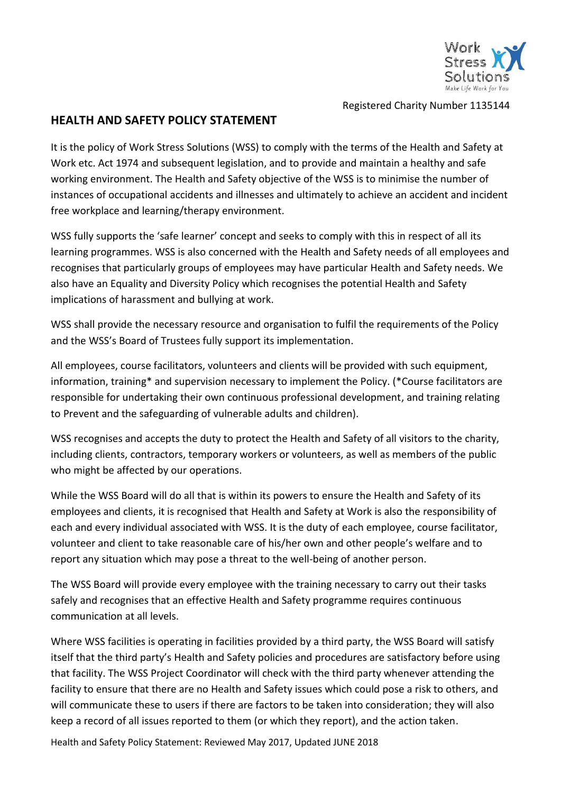

Registered Charity Number 1135144

## **HEALTH AND SAFETY POLICY STATEMENT**

It is the policy of Work Stress Solutions (WSS) to comply with the terms of the Health and Safety at Work etc. Act 1974 and subsequent legislation, and to provide and maintain a healthy and safe working environment. The Health and Safety objective of the WSS is to minimise the number of instances of occupational accidents and illnesses and ultimately to achieve an accident and incident free workplace and learning/therapy environment.

WSS fully supports the 'safe learner' concept and seeks to comply with this in respect of all its learning programmes. WSS is also concerned with the Health and Safety needs of all employees and recognises that particularly groups of employees may have particular Health and Safety needs. We also have an Equality and Diversity Policy which recognises the potential Health and Safety implications of harassment and bullying at work.

WSS shall provide the necessary resource and organisation to fulfil the requirements of the Policy and the WSS's Board of Trustees fully support its implementation.

All employees, course facilitators, volunteers and clients will be provided with such equipment, information, training\* and supervision necessary to implement the Policy. (\*Course facilitators are responsible for undertaking their own continuous professional development, and training relating to Prevent and the safeguarding of vulnerable adults and children).

WSS recognises and accepts the duty to protect the Health and Safety of all visitors to the charity, including clients, contractors, temporary workers or volunteers, as well as members of the public who might be affected by our operations.

While the WSS Board will do all that is within its powers to ensure the Health and Safety of its employees and clients, it is recognised that Health and Safety at Work is also the responsibility of each and every individual associated with WSS. It is the duty of each employee, course facilitator, volunteer and client to take reasonable care of his/her own and other people's welfare and to report any situation which may pose a threat to the well-being of another person.

The WSS Board will provide every employee with the training necessary to carry out their tasks safely and recognises that an effective Health and Safety programme requires continuous communication at all levels.

Where WSS facilities is operating in facilities provided by a third party, the WSS Board will satisfy itself that the third party's Health and Safety policies and procedures are satisfactory before using that facility. The WSS Project Coordinator will check with the third party whenever attending the facility to ensure that there are no Health and Safety issues which could pose a risk to others, and will communicate these to users if there are factors to be taken into consideration; they will also keep a record of all issues reported to them (or which they report), and the action taken.

Health and Safety Policy Statement: Reviewed May 2017, Updated JUNE 2018